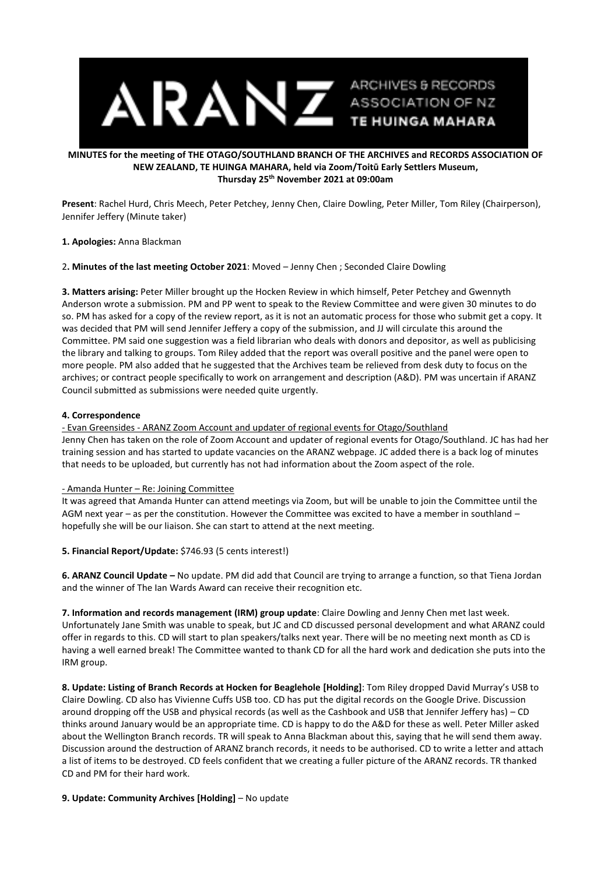

## **MINUTES for the meeting of THE OTAGO/SOUTHLAND BRANCH OF THE ARCHIVES and RECORDS ASSOCIATION OF NEW ZEALAND, TE HUINGA MAHARA, held via Zoom/Toitū Early Settlers Museum, Thursday 25th November 2021 at 09:00am**

**Present**: Rachel Hurd, Chris Meech, Peter Petchey, Jenny Chen, Claire Dowling, Peter Miller, Tom Riley (Chairperson), Jennifer Jeffery (Minute taker)

### **1. Apologies:** Anna Blackman

### 2**. Minutes of the last meeting October 2021**: Moved – Jenny Chen ; Seconded Claire Dowling

**3. Matters arising:** Peter Miller brought up the Hocken Review in which himself, Peter Petchey and Gwennyth Anderson wrote a submission. PM and PP went to speak to the Review Committee and were given 30 minutes to do so. PM has asked for a copy of the review report, as it is not an automatic process for those who submit get a copy. It was decided that PM will send Jennifer Jeffery a copy of the submission, and JJ will circulate this around the Committee. PM said one suggestion was a field librarian who deals with donors and depositor, as well as publicising the library and talking to groups. Tom Riley added that the report was overall positive and the panel were open to more people. PM also added that he suggested that the Archives team be relieved from desk duty to focus on the archives; or contract people specifically to work on arrangement and description (A&D). PM was uncertain if ARANZ Council submitted as submissions were needed quite urgently.

# **4. Correspondence**

- Evan Greensides - ARANZ Zoom Account and updater of regional events for Otago/Southland Jenny Chen has taken on the role of Zoom Account and updater of regional events for Otago/Southland. JC has had her training session and has started to update vacancies on the ARANZ webpage. JC added there is a back log of minutes that needs to be uploaded, but currently has not had information about the Zoom aspect of the role.

# - Amanda Hunter – Re: Joining Committee

It was agreed that Amanda Hunter can attend meetings via Zoom, but will be unable to join the Committee until the AGM next year – as per the constitution. However the Committee was excited to have a member in southland – hopefully she will be our liaison. She can start to attend at the next meeting.

**5. Financial Report/Update:** \$746.93 (5 cents interest!)

**6. ARANZ Council Update –** No update. PM did add that Council are trying to arrange a function, so that Tiena Jordan and the winner of The Ian Wards Award can receive their recognition etc.

**7. Information and records management (IRM) group update**: Claire Dowling and Jenny Chen met last week. Unfortunately Jane Smith was unable to speak, but JC and CD discussed personal development and what ARANZ could offer in regards to this. CD will start to plan speakers/talks next year. There will be no meeting next month as CD is having a well earned break! The Committee wanted to thank CD for all the hard work and dedication she puts into the IRM group.

**8. Update: Listing of Branch Records at Hocken for Beaglehole [Holding]**: Tom Riley dropped David Murray's USB to Claire Dowling. CD also has Vivienne Cuffs USB too. CD has put the digital records on the Google Drive. Discussion around dropping off the USB and physical records (as well as the Cashbook and USB that Jennifer Jeffery has) – CD thinks around January would be an appropriate time. CD is happy to do the A&D for these as well. Peter Miller asked about the Wellington Branch records. TR will speak to Anna Blackman about this, saying that he will send them away. Discussion around the destruction of ARANZ branch records, it needs to be authorised. CD to write a letter and attach a list of items to be destroyed. CD feels confident that we creating a fuller picture of the ARANZ records. TR thanked CD and PM for their hard work.

# **9. Update: Community Archives [Holding]** – No update